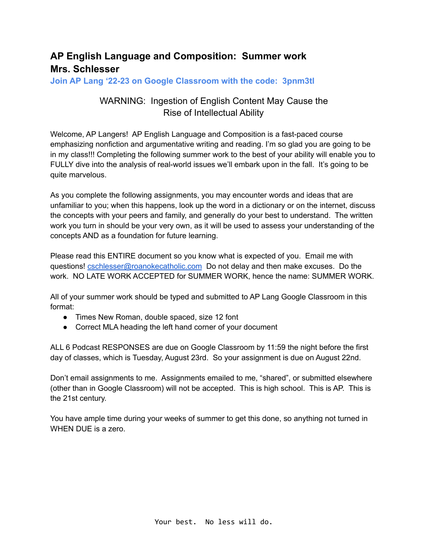# **AP English Language and Composition: Summer work Mrs. Schlesser**

**Join AP Lang '22-23 on Google Classroom with the code: 3pnm3tl**

# WARNING: Ingestion of English Content May Cause the Rise of Intellectual Ability

Welcome, AP Langers! AP English Language and Composition is a fast-paced course emphasizing nonfiction and argumentative writing and reading. I'm so glad you are going to be in my class!!! Completing the following summer work to the best of your ability will enable you to FULLY dive into the analysis of real-world issues we'll embark upon in the fall. It's going to be quite marvelous.

As you complete the following assignments, you may encounter words and ideas that are unfamiliar to you; when this happens, look up the word in a dictionary or on the internet, discuss the concepts with your peers and family, and generally do your best to understand. The written work you turn in should be your very own, as it will be used to assess your understanding of the concepts AND as a foundation for future learning.

Please read this ENTIRE document so you know what is expected of you. Email me with questions! [cschlesser@roanokecatholic.com](mailto:cschlesser@roanokecatholic.com) Do not delay and then make excuses. Do the work. NO LATE WORK ACCEPTED for SUMMER WORK, hence the name: SUMMER WORK.

All of your summer work should be typed and submitted to AP Lang Google Classroom in this format:

- Times New Roman, double spaced, size 12 font
- Correct MLA heading the left hand corner of your document

ALL 6 Podcast RESPONSES are due on Google Classroom by 11:59 the night before the first day of classes, which is Tuesday, August 23rd. So your assignment is due on August 22nd.

Don't email assignments to me. Assignments emailed to me, "shared", or submitted elsewhere (other than in Google Classroom) will not be accepted. This is high school. This is AP. This is the 21st century.

You have ample time during your weeks of summer to get this done, so anything not turned in WHEN DUE is a zero.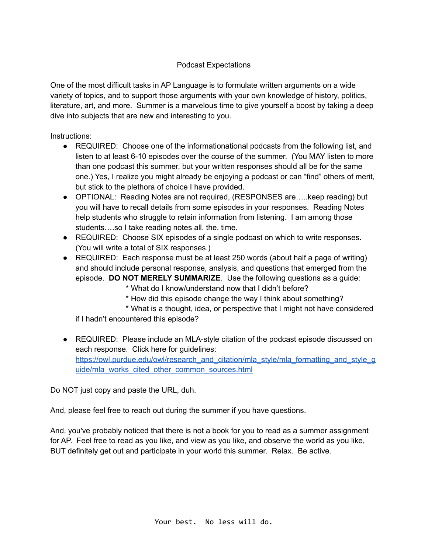#### Podcast Expectations

One of the most difficult tasks in AP Language is to formulate written arguments on a wide variety of topics, and to support those arguments with your own knowledge of history, politics, literature, art, and more. Summer is a marvelous time to give yourself a boost by taking a deep dive into subjects that are new and interesting to you.

Instructions:

- REQUIRED: Choose one of the informationational podcasts from the following list, and listen to at least 6-10 episodes over the course of the summer. (You MAY listen to more than one podcast this summer, but your written responses should all be for the same one.) Yes, I realize you might already be enjoying a podcast or can "find" others of merit, but stick to the plethora of choice I have provided.
- OPTIONAL: Reading Notes are not required, (RESPONSES are.....keep reading) but you will have to recall details from some episodes in your responses. Reading Notes help students who struggle to retain information from listening. I am among those students….so I take reading notes all. the. time.
- REQUIRED: Choose SIX episodes of a single podcast on which to write responses. (You will write a total of SIX responses.)
- REQUIRED: Each response must be at least 250 words (about half a page of writing) and should include personal response, analysis, and questions that emerged from the episode. **DO NOT MERELY SUMMARIZE**. Use the following questions as a guide:

\* What do I know/understand now that I didn't before?

\* How did this episode change the way I think about something?

\* What is a thought, idea, or perspective that I might not have considered if I hadn't encountered this episode?

● REQUIRED: Please include an MLA-style citation of the podcast episode discussed on each response. Click here for guidelines: [https://owl.purdue.edu/owl/research\\_and\\_citation/mla\\_style/mla\\_formatting\\_and\\_style\\_g](https://owl.purdue.edu/owl/research_and_citation/mla_style/mla_formatting_and_style_guide/mla_works_cited_other_common_sources.html) [uide/mla\\_works\\_cited\\_other\\_common\\_sources.html](https://owl.purdue.edu/owl/research_and_citation/mla_style/mla_formatting_and_style_guide/mla_works_cited_other_common_sources.html)

Do NOT just copy and paste the URL, duh.

And, please feel free to reach out during the summer if you have questions.

And, you've probably noticed that there is not a book for you to read as a summer assignment for AP. Feel free to read as you like, and view as you like, and observe the world as you like, BUT definitely get out and participate in your world this summer. Relax. Be active.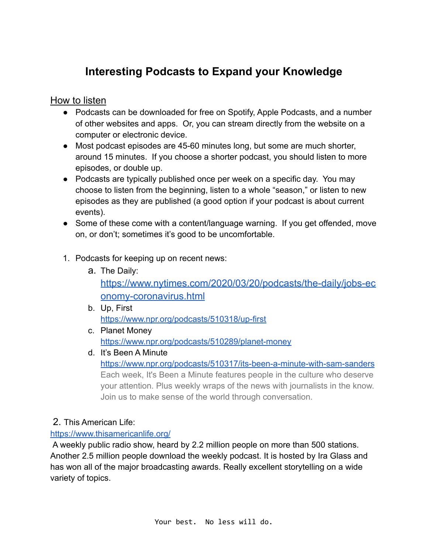# **Interesting Podcasts to Expand your Knowledge**

How to listen

- Podcasts can be downloaded for free on Spotify, Apple Podcasts, and a number of other websites and apps. Or, you can stream directly from the website on a computer or electronic device.
- Most podcast episodes are 45-60 minutes long, but some are much shorter, around 15 minutes. If you choose a shorter podcast, you should listen to more episodes, or double up.
- Podcasts are typically published once per week on a specific day. You may choose to listen from the beginning, listen to a whole "season," or listen to new episodes as they are published (a good option if your podcast is about current events).
- Some of these come with a content/language warning. If you get offended, move on, or don't; sometimes it's good to be uncomfortable.
- 1. Podcasts for keeping up on recent news:
	- a. The Daily:

[https://www.nytimes.com/2020/03/20/podcasts/the-daily/jobs-ec](https://www.nytimes.com/2020/03/20/podcasts/the-daily/jobs-economy-coronavirus.html) [onomy-coronavirus.html](https://www.nytimes.com/2020/03/20/podcasts/the-daily/jobs-economy-coronavirus.html)

- b. Up, First <https://www.npr.org/podcasts/510318/up-first>
- c. Planet Money <https://www.npr.org/podcasts/510289/planet-money>
- d. It's Been A Minute <https://www.npr.org/podcasts/510317/its-been-a-minute-with-sam-sanders> Each week, It's Been a Minute features people in the culture who deserve your attention. Plus weekly wraps of the news with journalists in the know. Join us to make sense of the world through conversation.

# 2. This American Life:

## <https://www.thisamericanlife.org/>

A weekly public radio show, heard by 2.2 million people on more than 500 stations. Another 2.5 million people download the weekly podcast. It is hosted by Ira Glass and has won all of the major broadcasting awards. Really excellent storytelling on a wide variety of topics.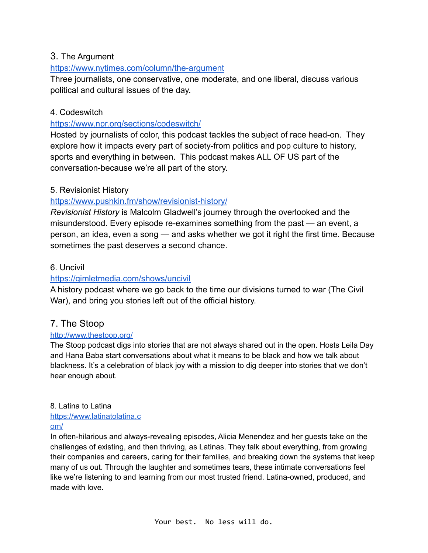## 3. The Argument

#### <https://www.nytimes.com/column/the-argument>

Three journalists, one conservative, one moderate, and one liberal, discuss various political and cultural issues of the day.

#### 4. Codeswitch

#### <https://www.npr.org/sections/codeswitch/>

Hosted by journalists of color, this podcast tackles the subject of race head-on. They explore how it impacts every part of society-from politics and pop culture to history, sports and everything in between. This podcast makes ALL OF US part of the conversation-because we're all part of the story.

## 5. Revisionist History

## <https://www.pushkin.fm/show/revisionist-history/>

*Revisionist History* is Malcolm Gladwell's journey through the overlooked and the misunderstood. Every episode re-examines something from the past — an event, a person, an idea, even a song — and asks whether we got it right the first time. Because sometimes the past deserves a second chance.

#### 6. Uncivil

#### <https://gimletmedia.com/shows/uncivil>

A history podcast where we go back to the time our divisions turned to war (The Civil War), and bring you stories left out of the official history.

## 7. The Stoop

#### <http://www.thestoop.org/>

The Stoop podcast digs into stories that are not always shared out in the open. Hosts Leila Day and Hana Baba start conversations about what it means to be black and how we talk about blackness. It's a celebration of black joy with a mission to dig deeper into stories that we don't hear enough about.

#### 8. Latina to Latina

# [https://www.latinatolatina.c](https://www.latinatolatina.com/)

#### [om/](https://www.latinatolatina.com/)

In often-hilarious and always-revealing episodes, Alicia Menendez and her guests take on the challenges of existing, and then thriving, as Latinas. They talk about everything, from growing their companies and careers, caring for their families, and breaking down the systems that keep many of us out. Through the laughter and sometimes tears, these intimate conversations feel like we're listening to and learning from our most trusted friend. Latina-owned, produced, and made with love.